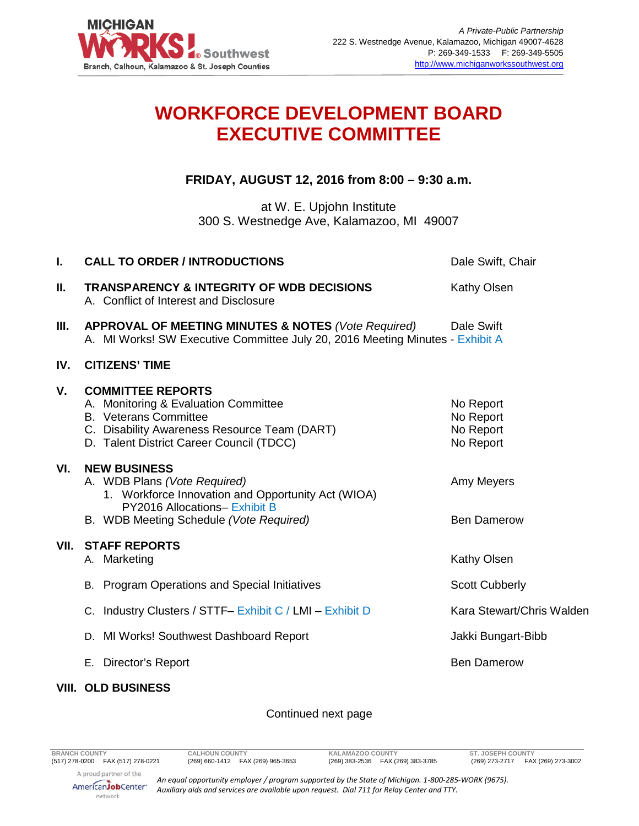

## **WORKFORCE DEVELOPMENT BOARD EXECUTIVE COMMITTEE**

**FRIDAY, AUGUST 12, 2016 from 8:00 – 9:30 a.m.**

at W. E. Upjohn Institute 300 S. Westnedge Ave, Kalamazoo, MI 49007

| I.   | <b>CALL TO ORDER / INTRODUCTIONS</b>                                                                                                                                                         | Dale Swift, Chair                                |
|------|----------------------------------------------------------------------------------------------------------------------------------------------------------------------------------------------|--------------------------------------------------|
| II.  | <b>TRANSPARENCY &amp; INTEGRITY OF WDB DECISIONS</b><br>A. Conflict of Interest and Disclosure                                                                                               | <b>Kathy Olsen</b>                               |
| III. | <b>APPROVAL OF MEETING MINUTES &amp; NOTES (Vote Required)</b> Dale Swift<br>A. MI Works! SW Executive Committee July 20, 2016 Meeting Minutes - Exhibit A                                   |                                                  |
| IV.  | <b>CITIZENS' TIME</b>                                                                                                                                                                        |                                                  |
| V.   | <b>COMMITTEE REPORTS</b><br>A. Monitoring & Evaluation Committee<br><b>B.</b> Veterans Committee<br>C. Disability Awareness Resource Team (DART)<br>D. Talent District Career Council (TDCC) | No Report<br>No Report<br>No Report<br>No Report |
| VI.  | <b>NEW BUSINESS</b><br>A. WDB Plans (Vote Required)<br>1. Workforce Innovation and Opportunity Act (WIOA)<br><b>PY2016 Allocations- Exhibit B</b><br>B. WDB Meeting Schedule (Vote Required) | Amy Meyers<br><b>Ben Damerow</b>                 |
| VII. | <b>STAFF REPORTS</b><br>A. Marketing                                                                                                                                                         | Kathy Olsen                                      |
|      | B. Program Operations and Special Initiatives                                                                                                                                                | <b>Scott Cubberly</b>                            |
|      | C. Industry Clusters / STTF- Exhibit C / LMI - Exhibit D                                                                                                                                     | Kara Stewart/Chris Walden                        |
|      | D. MI Works! Southwest Dashboard Report                                                                                                                                                      | Jakki Bungart-Bibb                               |
|      | Director's Report<br>Е.                                                                                                                                                                      | <b>Ben Damerow</b>                               |
|      |                                                                                                                                                                                              |                                                  |

## **VIII. OLD BUSINESS**

## Continued next page

(269) 383-2536 FAX (269) 383-3785

AmericanJobCenter\* network